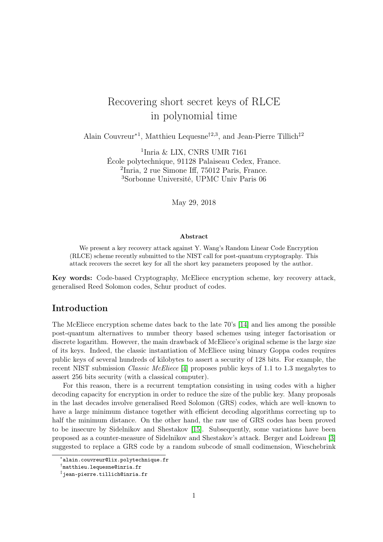# Recovering short secret keys of RLCE in polynomial time

Alain Couvreur<sup>∗1</sup>, Matthieu Lequesne<sup>†2,3</sup>, and Jean-Pierre Tillich<sup>‡2</sup>

 Inria & LIX, CNRS UMR 7161 École polytechnique, 91128 Palaiseau Cedex, France. Inria, 2 rue Simone Iff, 75012 Paris, France. Sorbonne Université, UPMC Univ Paris 06

May 29, 2018

#### Abstract

We present a key recovery attack against Y. Wang's Random Linear Code Encryption (RLCE) scheme recently submitted to the NIST call for post-quantum cryptography. This attack recovers the secret key for all the short key parameters proposed by the author.

Key words: Code-based Cryptography, McEliece encryption scheme, key recovery attack, generalised Reed Solomon codes, Schur product of codes.

# Introduction

The McEliece encryption scheme dates back to the late 70's [\[14\]](#page-17-0) and lies among the possible post-quantum alternatives to number theory based schemes using integer factorisation or discrete logarithm. However, the main drawback of McEliece's original scheme is the large size of its keys. Indeed, the classic instantiation of McEliece using binary Goppa codes requires public keys of several hundreds of kilobytes to assert a security of 128 bits. For example, the recent NIST submission Classic McEliece [\[4\]](#page-17-1) proposes public keys of 1.1 to 1.3 megabytes to assert 256 bits security (with a classical computer).

For this reason, there is a recurrent temptation consisting in using codes with a higher decoding capacity for encryption in order to reduce the size of the public key. Many proposals in the last decades involve generalised Reed Solomon (GRS) codes, which are well–known to have a large minimum distance together with efficient decoding algorithms correcting up to half the minimum distance. On the other hand, the raw use of GRS codes has been proved to be insecure by Sidelnikov and Shestakov [\[15\]](#page-18-0). Subsequently, some variations have been proposed as a counter-measure of Sidelnikov and Shestakov's attack. Berger and Loidreau [\[3\]](#page-17-2) suggested to replace a GRS code by a random subcode of small codimension, Wieschebrink

<sup>∗</sup> alain.couvreur@lix.polytechnique.fr

<sup>†</sup> matthieu.lequesne@inria.fr

<sup>‡</sup> jean-pierre.tillich@inria.fr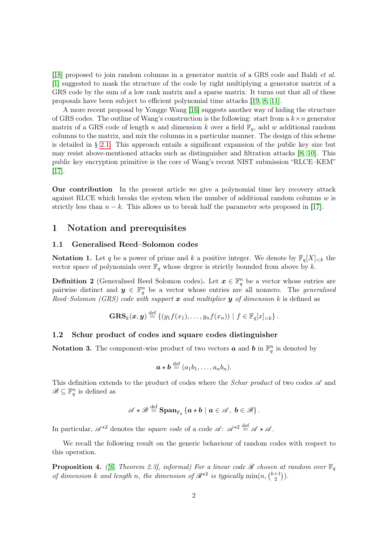[\[18\]](#page-18-1) proposed to join random columns in a generator matrix of a GRS code and Baldi et al. [\[1\]](#page-17-3) suggested to mask the structure of the code by right multiplying a generator matrix of a GRS code by the sum of a low rank matrix and a sparse matrix. It turns out that all of these proposals have been subject to efficient polynomial time attacks [\[19,](#page-18-2) [8,](#page-17-4) [11\]](#page-17-5).

A more recent proposal by Yongge Wang [\[16\]](#page-18-3) suggests another way of hiding the structure of GRS codes. The outline of Wang's construction is the following: start from a  $k \times n$  generator matrix of a GRS code of length n and dimension k over a field  $\mathbb{F}_q$ , add w additional random columns to the matrix, and mix the columns in a particular manner. The design of this scheme is detailed in § [2.1.](#page-3-0) This approach entails a significant expansion of the public key size but may resist above-mentioned attacks such as distinguisher and filtration attacks [\[8,](#page-17-4) [10\]](#page-17-6). This public key encryption primitive is the core of Wang's recent NIST submission "RLCE–KEM" [\[17\]](#page-18-4).

Our contribution In the present article we give a polynomial time key recovery attack against RLCE which breaks the system when the number of additional random columns  $w$  is strictly less than  $n - k$ . This allows us to break half the parameter sets proposed in [\[17\]](#page-18-4).

### 1 Notation and prerequisites

#### 1.1 Generalised Reed–Solomon codes

**Notation 1.** Let q be a power of prime and k a positive integer. We denote by  $\mathbb{F}_q[X]_{< k}$  the vector space of polynomials over  $\mathbb{F}_q$  whose degree is strictly bounded from above by k.

<span id="page-1-0"></span>**Definition 2** (Generalised Reed Solomon codes). Let  $x \in \mathbb{F}_q^n$  be a vector whose entries are pairwise distinct and  $y \in \mathbb{F}_q^n$  be a vector whose entries are all nonzero. The *generalised* Reed–Solomon (GRS) code with support  $\boldsymbol{x}$  and multiplier  $\boldsymbol{y}$  of dimension k is defined as

$$
\mathbf{GRS}_k(\boldsymbol{x},\boldsymbol{y}) \stackrel{\text{def}}{=} \{ (y_1f(x_1),\ldots,y_nf(x_n)) \mid f \in \mathbb{F}_q[x]_{< k} \}.
$$

#### 1.2 Schur product of codes and square codes distinguisher

**Notation 3.** The component-wise product of two vectors **a** and **b** in  $\mathbb{F}_q^n$  is denoted by

$$
\boldsymbol{a} \star \boldsymbol{b} \stackrel{\text{def}}{=} (a_1b_1, \ldots, a_nb_n).
$$

This definition extends to the product of codes where the *Schur product* of two codes  $\mathscr A$  and  $\mathscr{B} \subseteq \mathbb{F}_q^n$  is defined as

$$
\mathscr{A} \star \mathscr{B} \stackrel{\text{def}}{=} \mathrm{Span}_{\mathbb{F}_q} \left\{ a \star b \mid a \in \mathscr{A}, \ b \in \mathscr{B} \right\}.
$$

In particular,  $\mathscr{A}^{\star 2}$  denotes the *square code* of a code  $\mathscr{A}$ :  $\mathscr{A}^{\star 2} \stackrel{\text{def}}{=} \mathscr{A} \star \mathscr{A}$ .

We recall the following result on the generic behaviour of random codes with respect to this operation.

<span id="page-1-1"></span>**Proposition 4.** ([\[6,](#page-17-7) Theorem 2.3], informal) For a linear code  $\mathcal{R}$  chosen at random over  $\mathbb{F}_q$ of dimension k and length n, the dimension of  $\mathcal{R}^{\star 2}$  is typically  $\min(n, {\binom{k+1}{2}}$  $\binom{+1}{2}$ .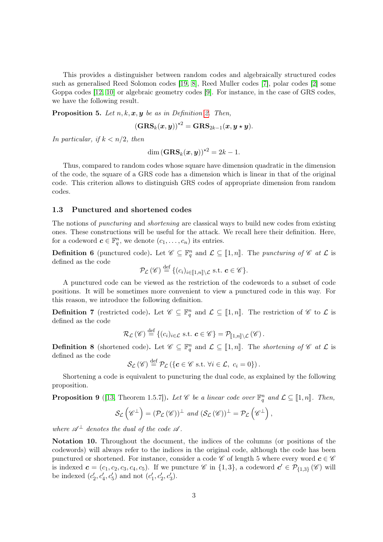This provides a distinguisher between random codes and algebraically structured codes such as generalised Reed Solomon codes [\[19,](#page-18-2) [8\]](#page-17-4), Reed Muller codes [\[7\]](#page-17-8), polar codes [\[2\]](#page-17-9) some Goppa codes [\[12,](#page-17-10) [10\]](#page-17-6) or algebraic geometry codes [\[9\]](#page-17-11). For instance, in the case of GRS codes, we have the following result.

**Proposition 5.** Let  $n, k, x, y$  be as in Definition [2.](#page-1-0) Then,

$$
\left(\textbf{GRS}_k(\boldsymbol{x}, \boldsymbol{y})\right)^{\star 2} = \textbf{GRS}_{2k-1}(\boldsymbol{x}, \boldsymbol{y}\star \boldsymbol{y}).
$$

In particular, if  $k < n/2$ , then

dim  $(GRS_k(x, y))^{*2} = 2k - 1.$ 

Thus, compared to random codes whose square have dimension quadratic in the dimension of the code, the square of a GRS code has a dimension which is linear in that of the original code. This criterion allows to distinguish GRS codes of appropriate dimension from random codes.

#### 1.3 Punctured and shortened codes

The notions of puncturing and shortening are classical ways to build new codes from existing ones. These constructions will be useful for the attack. We recall here their definition. Here, for a codeword  $\boldsymbol{c} \in \mathbb{F}_q^n$ , we denote  $(c_1, \ldots, c_n)$  its entries.

**Definition 6** (punctured code). Let  $\mathscr{C} \subseteq \mathbb{F}_q^n$  and  $\mathcal{L} \subseteq [1, n]$ . The *puncturing of*  $\mathscr{C}$  at  $\mathcal{L}$  is defined as the code defined as the code

$$
\mathcal{P}_{\mathcal{L}}(\mathscr{C}) \stackrel{\text{def}}{=} \{ (c_i)_{i \in [\![1,n]\!]} \setminus \mathcal{L} \text{ s.t. } \mathbf{c} \in \mathscr{C} \}.
$$

A punctured code can be viewed as the restriction of the codewords to a subset of code positions. It will be sometimes more convenient to view a punctured code in this way. For this reason, we introduce the following definition.

**Definition 7** (restricted code). Let  $\mathscr{C} \subseteq \mathbb{F}_q^n$  and  $\mathcal{L} \subseteq [1, n]$ . The restriction of  $\mathscr{C}$  to  $\mathcal{L}$  is defined as the sode defined as the code

$$
\mathcal{R}_{\mathcal{L}}(\mathscr{C}) \stackrel{\text{def}}{=} \{ (c_i)_{i \in \mathcal{L}} \text{ s.t. } \mathbf{c} \in \mathscr{C} \} = \mathcal{P}_{[\![ 1,n ]\!]} \setminus \mathcal{L}(\mathscr{C}) \, .
$$

**Definition 8** (shortened code). Let  $\mathscr{C} \subseteq \mathbb{F}_q^n$  and  $\mathcal{L} \subseteq [1, n]$ . The *shortening of*  $\mathscr{C}$  at  $\mathcal{L}$  is defined as the sode defined as the code

 $\mathcal{S}_{\mathcal{L}}(\mathscr{C}) \stackrel{\text{def}}{=} \mathcal{P}_{\mathcal{L}}(\{\mathbf{c} \in \mathscr{C} \text{ s.t. } \forall i \in \mathcal{L}, c_i = 0\}).$ 

Shortening a code is equivalent to puncturing the dual code, as explained by the following proposition.

**Proposition 9** ([\[13,](#page-17-12) Theorem 1.5.7]). Let  $\mathscr{C}$  be a linear code over  $\mathbb{F}_q^n$  and  $\mathcal{L} \subseteq [\![1,n]\!]$ . Then,

$$
\mathcal{S}_{\mathcal{L}}\left(\mathscr{C}^{\perp}\right)=(\mathcal{P}_{\mathcal{L}}\left(\mathscr{C}\right))^{\perp} and (\mathcal{S}_{\mathcal{L}}\left(\mathscr{C}\right))^{\perp}=\mathcal{P}_{\mathcal{L}}\left(\mathscr{C}^{\perp}\right),
$$

where  $\mathscr{A}^{\perp}$  denotes the dual of the code  $\mathscr{A}$ .

Notation 10. Throughout the document, the indices of the columns (or positions of the codewords) will always refer to the indices in the original code, although the code has been punctured or shortened. For instance, consider a code  $\mathscr{C}$  of length 5 where every word  $c \in \mathscr{C}$ is indexed  $\mathbf{c} = (c_1, c_2, c_3, c_4, c_5)$ . If we puncture  $\mathscr{C}$  in  $\{1,3\}$ , a codeword  $\mathbf{c}' \in \mathcal{P}_{\{1,3\}}(\mathscr{C})$  will be indexed  $(c'_2, c'_4, c'_5)$  and not  $(c'_1, c'_2, c'_3)$ .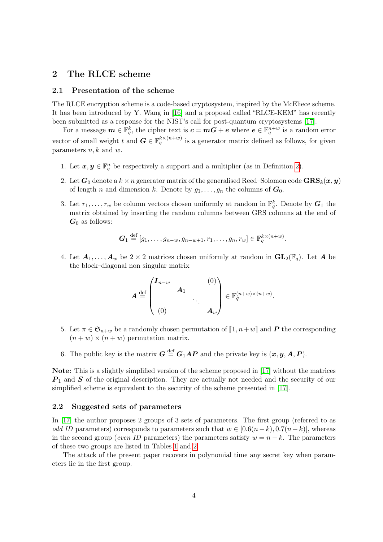# 2 The RLCE scheme

#### <span id="page-3-0"></span>2.1 Presentation of the scheme

The RLCE encryption scheme is a code-based cryptosystem, inspired by the McEliece scheme. It has been introduced by Y. Wang in [\[16\]](#page-18-3) and a proposal called "RLCE-KEM" has recently been submitted as a response for the NIST's call for post-quantum cryptosystems [\[17\]](#page-18-4).

For a message  $\bm{m} \in \mathbb{F}_q^k$ , the cipher text is  $\bm{c} = \bm{m}\bm{G} + \bm{e}$  where  $\bm{e} \in \mathbb{F}_q^{n+w}$  is a random error vector of small weight t and  $G \in \mathbb{F}_q^{k \times (n+w)}$  is a generator matrix defined as follows, for given parameters  $n, k$  and  $w$ .

- 1. Let  $x, y \in \mathbb{F}_q^n$  be respectively a support and a multiplier (as in Definition [2\)](#page-1-0).
- 2. Let  $G_0$  denote a  $k \times n$  generator matrix of the generalised Reed–Solomon code  $GRS_k(x, y)$ of length n and dimension k. Denote by  $g_1, \ldots, g_n$  the columns of  $G_0$ .
- <span id="page-3-1"></span>3. Let  $r_1, \ldots, r_w$  be column vectors chosen uniformly at random in  $\mathbb{F}_q^k$ . Denote by  $G_1$  the matrix obtained by inserting the random columns between GRS columns at the end of  $G_0$  as follows:

$$
G_1 \stackrel{\text{def}}{=} [g_1, \ldots, g_{n-w}, g_{n-w+1}, r_1, \ldots, g_n, r_w] \in \mathbb{F}_q^{k \times (n+w)}.
$$

4. Let  $A_1, \ldots, A_w$  be  $2 \times 2$  matrices chosen uniformly at random in  $\mathbf{GL}_2(\mathbb{F}_q)$ . Let A be the block–diagonal non singular matrix

$$
\boldsymbol{A} \stackrel{\text{def}}{=} \begin{pmatrix} \boldsymbol{I}_{n-w} & & (0) \\ & \boldsymbol{A}_1 & & \\ & & \ddots & \\ & & & \ddots & \\ (0) & & & \boldsymbol{A}_w \end{pmatrix} \in \mathbb{F}_q^{(n+w)\times(n+w)}.
$$

- 5. Let  $\pi \in \mathfrak{S}_{n+w}$  be a randomly chosen permutation of  $\llbracket 1, n+w \rrbracket$  and P the corresponding  $(n + w) \times (n + w)$  permutation matrix.
- 6. The public key is the matrix  $G \stackrel{\text{def}}{=} G_1 A P$  and the private key is  $(x, y, A, P)$ .

Note: This is a slightly simplified version of the scheme proposed in [\[17\]](#page-18-4) without the matrices  $P_1$  and S of the original description. They are actually not needed and the security of our simplified scheme is equivalent to the security of the scheme presented in [\[17\]](#page-18-4).

#### 2.2 Suggested sets of parameters

In [\[17\]](#page-18-4) the author proposes 2 groups of 3 sets of parameters. The first group (referred to as odd ID parameters) corresponds to parameters such that  $w \in [0.6(n-k), 0.7(n-k)]$ , whereas in the second group (even ID parameters) the parameters satisfy  $w = n - k$ . The parameters of these two groups are listed in Tables [1](#page-4-0) and [2.](#page-4-1)

The attack of the present paper recovers in polynomial time any secret key when parameters lie in the first group.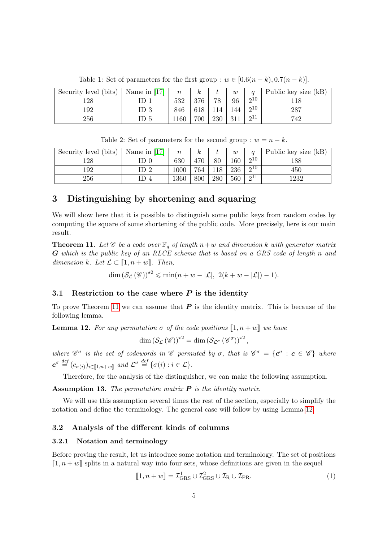| Security level (bits) | Name in $[17]$ | $\it n$ | k,  |     | w   |             | Public key size (kB) |
|-----------------------|----------------|---------|-----|-----|-----|-------------|----------------------|
| 128                   |                | 532     | 376 | 78  | 96  | 210         |                      |
| 192                   |                | 846     |     |     |     | $\Omega$ 10 | 287                  |
| 256                   |                | 160     | 700 | 230 | 911 | 011         | 742                  |

<span id="page-4-0"></span>Table 1: Set of parameters for the first group :  $w \in [0.6(n-k), 0.7(n-k)]$ .

<span id="page-4-1"></span>Table 2: Set of parameters for the second group :  $w = n - k$ .

| Security level (bits) | Name in $[17]$  | $\,n$    | $\kappa$ |        | w   | $\alpha$    | Public key size (kB) |
|-----------------------|-----------------|----------|----------|--------|-----|-------------|----------------------|
| 128                   |                 | 630      |          | $80\,$ | 160 | $\Omega$ 10 | 188                  |
| 192                   | ID <sub>2</sub> | $1000\,$ | 764      | 1Q     | 236 | $\Omega$ 10 | 450                  |
| 256                   |                 | 1360     | 800      | 280    | 560 | $\Omega$ 11 | 1232                 |

# 3 Distinguishing by shortening and squaring

We will show here that it is possible to distinguish some public keys from random codes by computing the square of some shortening of the public code. More precisely, here is our main result.

<span id="page-4-2"></span>**Theorem 11.** Let  $\mathscr C$  be a code over  $\mathbb F_q$  of length  $n+w$  and dimension k with generator matrix G which is the public key of an RLCE scheme that is based on a GRS code of length n and dimension k. Let  $\mathcal{L} \subset [1, n+w]$ . Then,

 $\dim \left( \mathcal{S}_{\mathcal{L}}(\mathscr{C}) \right)^{\star 2} \leqslant \min(n + w - |\mathcal{L}|, 2(k + w - |\mathcal{L}|) - 1).$ 

#### 3.1 Restriction to the case where  $P$  is the identity

To prove Theorem [11](#page-4-2) we can assume that  $P$  is the identity matrix. This is because of the following lemma.

<span id="page-4-3"></span>**Lemma 12.** For any permutation  $\sigma$  of the code positions  $\llbracket 1, n+w \rrbracket$  we have

$$
\dim\left(\mathcal{S}_{\mathcal{L}}\left(\mathscr{C}\right)\right)^{\star 2}=\dim\left(\mathcal{S}_{\mathcal{L}^{\sigma}}\left(\mathscr{C}^{\sigma}\right)\right)^{\star 2},
$$

where  $\mathscr{C}^{\sigma}$  is the set of codewords in  $\mathscr{C}$  permuted by  $\sigma$ , that is  $\mathscr{C}^{\sigma} = {\bf c}^{\sigma} : {\bf c} \in \mathscr{C}$  where  $c^{\sigma} \stackrel{\text{def}}{=} (c_{\sigma(i)})_{i \in [\![1,n+w]\!]}$  and  $\mathcal{L}^{\sigma} \stackrel{\text{def}}{=} {\{\sigma(i) : i \in \mathcal{L}\}}.$ 

Therefore, for the analysis of the distinguisher, we can make the following assumption.

<span id="page-4-4"></span>**Assumption 13.** The permutation matrix  $P$  is the identity matrix.

We will use this assumption several times the rest of the section, especially to simplify the notation and define the terminology. The general case will follow by using Lemma [12.](#page-4-3)

#### 3.2 Analysis of the different kinds of columns

#### 3.2.1 Notation and terminology

Before proving the result, let us introduce some notation and terminology. The set of positions  $\llbracket 1, n+w \rrbracket$  splits in a natural way into four sets, whose definitions are given in the sequel

$$
[1, n+w] = \mathcal{I}_{\text{GRS}}^1 \cup \mathcal{I}_{\text{GRS}}^2 \cup \mathcal{I}_{\text{R}} \cup \mathcal{I}_{\text{PR}}.
$$
 (1)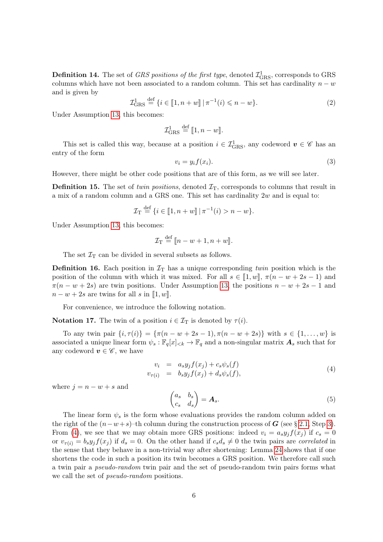**Definition 14.** The set of *GRS positions of the first type*, denoted  $\mathcal{I}^1_{\text{GRS}}$ , corresponds to GRS columns which have not been associated to a random column. This set has cardinality  $n - w$ and is given by

<span id="page-5-1"></span>
$$
\mathcal{I}_{\text{GRS}}^1 \stackrel{\text{def}}{=} \{ i \in [1, n+w] \mid \pi^{-1}(i) \leqslant n-w \}. \tag{2}
$$

Under Assumption [13,](#page-4-4) this becomes:

$$
\mathcal{I}_{\text{GRS}}^1 \stackrel{\text{def}}{=} [1, n - w].
$$

This set is called this way, because at a position  $i \in \mathcal{I}_{GRS}^1$ , any codeword  $v \in \mathscr{C}$  has an entry of the form

$$
v_i = y_i f(x_i). \tag{3}
$$

However, there might be other code positions that are of this form, as we will see later.

**Definition 15.** The set of twin positions, denoted  $\mathcal{I}_T$ , corresponds to columns that result in a mix of a random column and a GRS one. This set has cardinality  $2w$  and is equal to:

$$
\mathcal{I}_{\mathcal{T}} \stackrel{\text{def}}{=} \{ i \in [1, n+w] \, | \, \pi^{-1}(i) > n-w \}.
$$

Under Assumption [13,](#page-4-4) this becomes:

$$
\mathcal{I}_{\mathrm{T}} \stackrel{\mathrm{def}}{=} [n - w + 1, n + w].
$$

The set  $\mathcal{I}_{\mathrm{T}}$  can be divided in several subsets as follows.

**Definition 16.** Each position in  $\mathcal{I}_T$  has a unique corresponding twin position which is the position of the column with which it was mixed. For all  $s \in [1, w]$ ,  $\pi(n - w + 2s - 1)$  and  $\pi(n - w + 2s)$  are twin positions. Under Assumption [13,](#page-4-4) the positions  $n - w + 2s - 1$  and  $n - w + 2s$  are twins for all s in [1, w].

For convenience, we introduce the following notation.

**Notation 17.** The twin of a position  $i \in \mathcal{I}_T$  is denoted by  $\tau(i)$ .

To any twin pair  $\{i, \tau(i)\} = \{\pi(n - w + 2s - 1), \pi(n - w + 2s)\}\$  with  $s \in \{1, ..., w\}$  is associated a unique linear form  $\psi_s : \mathbb{F}_q[x]_{\leq k} \to \mathbb{F}_q$  and a non-singular matrix  $\mathbf{A}_s$  such that for any codeword  $v \in \mathscr{C}$ , we have

<span id="page-5-0"></span>
$$
v_i = a_s y_j f(x_j) + c_s \psi_s(f)
$$
  
\n
$$
v_{\tau(i)} = b_s y_j f(x_j) + d_s \psi_s(f),
$$
\n(4)

where  $j = n - w + s$  and

<span id="page-5-2"></span>
$$
\begin{pmatrix} a_s & b_s \\ c_s & d_s \end{pmatrix} = \mathbf{A}_s. \tag{5}
$$

The linear form  $\psi_s$  is the form whose evaluations provides the random column added on the right of the  $(n-w+s)$ –th column during the construction process of G (see § [2.1,](#page-3-0) Step [3\)](#page-3-1). From [\(4\)](#page-5-0), we see that we may obtain more GRS positions: indeed  $v_i = a_s y_j f(x_i)$  if  $c_s = 0$ or  $v_{\tau(i)} = b_s y_j f(x_j)$  if  $d_s = 0$ . On the other hand if  $c_s d_s \neq 0$  the twin pairs are correlated in the sense that they behave in a non-trivial way after shortening: Lemma [24](#page-7-0) shows that if one shortens the code in such a position its twin becomes a GRS position. We therefore call such a twin pair a pseudo-random twin pair and the set of pseudo-random twin pairs forms what we call the set of *pseudo-random* positions.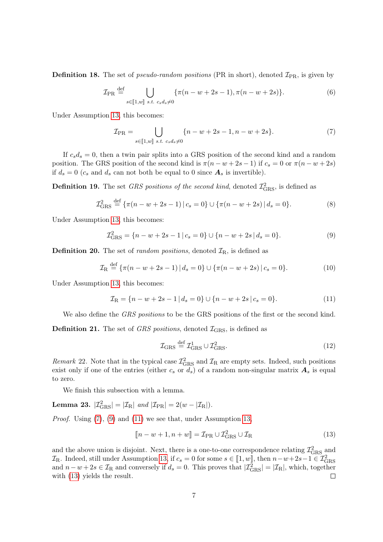**Definition 18.** The set of *pseudo-random positions* (PR in short), denoted  $\mathcal{I}_{PR}$ , is given by

<span id="page-6-6"></span>
$$
\mathcal{I}_{\rm PR} \stackrel{\text{def}}{=} \bigcup_{s \in [\![1,w]\!]} \{ \pi(n - w + 2s - 1), \pi(n - w + 2s) \}. \tag{6}
$$

Under Assumption [13,](#page-4-4) this becomes:

<span id="page-6-0"></span>
$$
\mathcal{I}_{\text{PR}} = \bigcup_{s \in [1,w] \text{ s.t. } c_s d_s \neq 0} \{n - w + 2s - 1, n - w + 2s\}.
$$
 (7)

If  $c_s d_s = 0$ , then a twin pair splits into a GRS position of the second kind and a random position. The GRS position of the second kind is  $\pi(n - w + 2s - 1)$  if  $c_s = 0$  or  $\pi(n - w + 2s)$ if  $d_s = 0$  ( $c_s$  and  $d_s$  can not both be equal to 0 since  $\mathbf{A}_s$  is invertible).

**Definition 19.** The set GRS positions of the second kind, denoted  $\mathcal{I}^2_{\text{GRS}}$ , is defined as

<span id="page-6-4"></span>
$$
\mathcal{I}_{\text{GRS}}^2 \stackrel{\text{def}}{=} \{ \pi(n - w + 2s - 1) \, | \, c_s = 0 \} \cup \{ \pi(n - w + 2s) \, | \, d_s = 0 \}. \tag{8}
$$

Under Assumption [13,](#page-4-4) this becomes:

<span id="page-6-1"></span>
$$
\mathcal{I}_{\text{GRS}}^2 = \{ n - w + 2s - 1 \, | \, c_s = 0 \} \cup \{ n - w + 2s \, | \, d_s = 0 \}. \tag{9}
$$

**Definition 20.** The set of *random positions*, denoted  $\mathcal{I}_R$ , is defined as

$$
\mathcal{I}_{\mathrm{R}} \stackrel{\text{def}}{=} \{ \pi(n - w + 2s - 1) \, | \, d_s = 0 \} \cup \{ \pi(n - w + 2s) \, | \, c_s = 0 \}. \tag{10}
$$

Under Assumption [13,](#page-4-4) this becomes:

<span id="page-6-2"></span>
$$
\mathcal{I}_{\mathcal{R}} = \{ n - w + 2s - 1 \, | \, d_s = 0 \} \cup \{ n - w + 2s \, | \, c_s = 0 \}. \tag{11}
$$

We also define the *GRS positions* to be the GRS positions of the first or the second kind.

**Definition 21.** The set of GRS positions, denoted  $\mathcal{I}_{\text{GRS}}$ , is defined as

<span id="page-6-5"></span>
$$
\mathcal{I}_{\rm GRS} \stackrel{\text{def}}{=} \mathcal{I}_{\rm GRS}^1 \cup \mathcal{I}_{\rm GRS}^2. \tag{12}
$$

<span id="page-6-8"></span>Remark 22. Note that in the typical case  $\mathcal{I}^2_{\text{GRS}}$  and  $\mathcal{I}_R$  are empty sets. Indeed, such positions exist only if one of the entries (either  $c_s$  or  $d_s$ ) of a random non-singular matrix  $\mathbf{A}_s$  is equal to zero.

We finish this subsection with a lemma.

<span id="page-6-7"></span>**Lemma 23.** 
$$
|\mathcal{I}_{\text{GRS}}^2| = |\mathcal{I}_{\text{R}}|
$$
 and  $|\mathcal{I}_{\text{PR}}| = 2(w - |\mathcal{I}_{\text{R}}|)$ .

Proof. Using [\(7\)](#page-6-0), [\(9\)](#page-6-1) and [\(11\)](#page-6-2) we see that, under Assumption [13,](#page-4-4)

<span id="page-6-3"></span>
$$
[\![n-w+1,n+w]\!] = \mathcal{I}_{\text{PR}} \cup \mathcal{I}_{\text{GRS}}^2 \cup \mathcal{I}_{\text{R}} \tag{13}
$$

and the above union is disjoint. Next, there is a one-to-one correspondence relating  $\mathcal{I}^2_{\rm GRS}$  and  $\mathcal{I}_{\text{R}}$ . Indeed, still under Assumption [13,](#page-4-4) if  $c_s = 0$  for some  $s \in [\![1, w]\!]$ , then  $n-w+2s-1 \in \mathcal{I}_{\text{GRS}}^2$ and  $n-w+2s \in \mathcal{I}_R$  and conversely if  $d_s = 0$ . This proves that  $|\mathcal{I}_{GRS}^2| = |\mathcal{I}_R|$ , which, together with [\(13\)](#page-6-3) yields the result.  $\Box$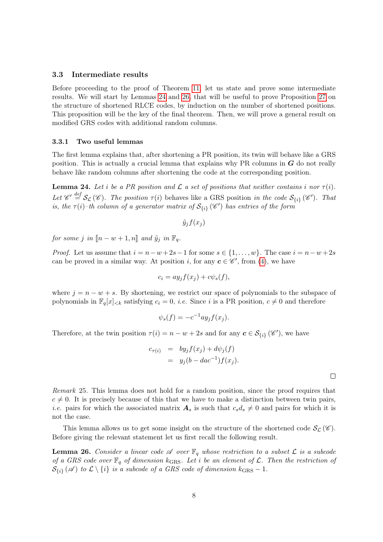#### 3.3 Intermediate results

Before proceeding to the proof of Theorem [11,](#page-4-2) let us state and prove some intermediate results. We will start by Lemmas [24](#page-7-0) and [26,](#page-7-1) that will be useful to prove Proposition [27](#page-8-0) on the structure of shortened RLCE codes, by induction on the number of shortened positions. This proposition will be the key of the final theorem. Then, we will prove a general result on modified GRS codes with additional random columns.

#### 3.3.1 Two useful lemmas

The first lemma explains that, after shortening a PR position, its twin will behave like a GRS position. This is actually a crucial lemma that explains why PR columns in  $G$  do not really behave like random columns after shortening the code at the corresponding position.

<span id="page-7-0"></span>**Lemma 24.** Let i be a PR position and  $\mathcal{L}$  a set of positions that neither contains i nor  $\tau(i)$ . Let  $\mathscr{C}' \stackrel{\text{def}}{=} \mathcal{S}_{\mathcal{L}}(\mathscr{C})$ . The position  $\tau(i)$  behaves like a GRS position in the code  $\mathcal{S}_{\{i\}}(\mathscr{C}')$ . That is, the  $\tau(i)$ -th column of a generator matrix of  $S_{\{i\}}(\mathscr{C}')$  has entries of the form

$$
\tilde{y}_j f(x_j)
$$

for some j in  $\llbracket n - w + 1, n \rrbracket$  and  $\tilde{y}_j$  in  $\mathbb{F}_q$ .

*Proof.* Let us assume that  $i = n - w + 2s - 1$  for some  $s \in \{1, ..., w\}$ . The case  $i = n - w + 2s$ can be proved in a similar way. At position *i*, for any  $c \in \mathscr{C}'$ , from [\(4\)](#page-5-0), we have

$$
c_i = ay_j f(x_j) + c\psi_s(f),
$$

where  $j = n - w + s$ . By shortening, we restrict our space of polynomials to the subspace of polynomials in  $\mathbb{F}_q[x]_{< k}$  satisfying  $c_i = 0$ , *i.e.* Since *i* is a PR position,  $c \neq 0$  and therefore

$$
\psi_s(f) = -c^{-1} a y_j f(x_j).
$$

Therefore, at the twin position  $\tau(i) = n - w + 2s$  and for any  $c \in S_{\{i\}}(\mathscr{C}')$ , we have

$$
c_{\tau(i)} = by_j f(x_j) + d\psi_j(f)
$$
  
=  $y_j(b - dac^{-1})f(x_j).$ 

 $\Box$ 

Remark 25. This lemma does not hold for a random position, since the proof requires that  $c \neq 0$ . It is precisely because of this that we have to make a distinction between twin pairs, *i.e.* pairs for which the associated matrix  $A_s$  is such that  $c_s d_s \neq 0$  and pairs for which it is not the case.

This lemma allows us to get some insight on the structure of the shortened code  $\mathcal{S}_{\mathcal{L}}(\mathscr{C})$ . Before giving the relevant statement let us first recall the following result.

<span id="page-7-1"></span>**Lemma 26.** Consider a linear code  $\mathscr A$  over  $\mathbb F_q$  whose restriction to a subset  $\mathcal L$  is a subcode of a GRS code over  $\mathbb{F}_q$  of dimension  $k_{\text{GRS}}$ . Let i be an element of  $\mathcal{L}$ . Then the restriction of  $\mathcal{S}_{\{i\}}(\mathscr{A})$  to  $\mathcal{L}\setminus\{i\}$  is a subcode of a GRS code of dimension  $k_{\text{GRS}}-1$ .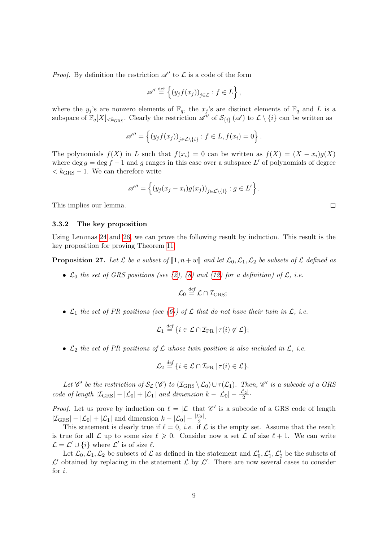*Proof.* By definition the restriction  $\mathscr{A}'$  to  $\mathscr{L}$  is a code of the form

$$
\mathscr{A}' \stackrel{\text{def}}{=} \left\{ \left( y_j f(x_j) \right)_{j \in \mathcal{L}} : f \in L \right\},\
$$

where the  $y_j$ 's are nonzero elements of  $\mathbb{F}_q$ , the  $x_j$ 's are distinct elements of  $\mathbb{F}_q$  and L is a subspace of  $\mathbb{F}_q[X]_{\leq k_{\text{GRS}}}$ . Clearly the restriction  $\mathscr{A}''$  of  $\mathcal{S}_{\{i\}}(\mathscr{A})$  to  $\mathcal{L} \setminus \{i\}$  can be written as

$$
\mathscr{A}'' = \left\{ (y_j f(x_j))_{j \in \mathcal{L} \setminus \{i\}} : f \in L, f(x_i) = 0 \right\}.
$$

The polynomials  $f(X)$  in L such that  $f(x_i) = 0$  can be written as  $f(X) = (X - x_i)g(X)$ where deg  $g = \deg f - 1$  and g ranges in this case over a subspace L' of polynomials of degree  $k_{\text{GRS}} - 1$ . We can therefore write

$$
\mathscr{A}'' = \left\{ \left( y_j(x_j - x_i)g(x_j) \right)_{j \in \mathcal{L} \setminus \{i\}} : g \in L' \right\}.
$$

This implies our lemma.

#### 3.3.2 The key proposition

Using Lemmas [24](#page-7-0) and [26,](#page-7-1) we can prove the following result by induction. This result is the key proposition for proving Theorem [11.](#page-4-2)

<span id="page-8-0"></span>**Proposition 27.** Let  $\mathcal L$  be a subset of  $\llbracket 1, n+w \rrbracket$  and let  $\mathcal L_0, \mathcal L_1, \mathcal L_2$  be subsets of  $\mathcal L$  defined as

•  $\mathcal{L}_0$  the set of GRS positions (see [\(2\)](#page-5-1), [\(8\)](#page-6-4) and [\(12\)](#page-6-5) for a definition) of  $\mathcal{L}$ , i.e.

$$
\mathcal{L}_0 \stackrel{\text{def}}{=} \mathcal{L} \cap \mathcal{I}_{GRS};
$$

•  $\mathcal{L}_1$  the set of PR positions (see [\(6\)](#page-6-6)) of  $\mathcal L$  that do not have their twin in  $\mathcal L$ , i.e.

$$
\mathcal{L}_1 \stackrel{\text{def}}{=} \{i \in \mathcal{L} \cap \mathcal{I}_{PR} \,|\, \tau(i) \notin \mathcal{L}\};
$$

•  $\mathcal{L}_2$  the set of PR positions of  $\mathcal L$  whose twin position is also included in  $\mathcal L$ , i.e.

$$
\mathcal{L}_2 \stackrel{\text{def}}{=} \{i \in \mathcal{L} \cap \mathcal{I}_{PR} \, | \, \tau(i) \in \mathcal{L}\}.
$$

Let  $\mathscr{C}'$  be the restriction of  $\mathcal{S}_{\mathcal{L}}(\mathscr{C})$  to  $(\mathcal{I}_{GRS} \setminus \mathcal{L}_0) \cup \tau(\mathcal{L}_1)$ . Then,  $\mathscr{C}'$  is a subcode of a GRS code of length  $|\mathcal{I}_{GRS}| - |\mathcal{L}_0| + |\mathcal{L}_1|$  and dimension  $k - |\mathcal{L}_0| - \frac{|\mathcal{L}_2|}{2}$ .

*Proof.* Let us prove by induction on  $\ell = |\mathcal{L}|$  that  $\mathscr{C}'$  is a subcode of a GRS code of length  $|\mathcal{I}_{GRS}| - |\mathcal{L}_0| + |\mathcal{L}_1|$  and dimension  $k - |\mathcal{L}_0| - \frac{|\mathcal{L}_2|}{2}$ .

This statement is clearly true if  $\ell = 0$ , *i.e.* if  $\mathcal L$  is the empty set. Assume that the result is true for all  $\mathcal L$  up to some size  $\ell \geqslant 0$ . Consider now a set  $\mathcal L$  of size  $\ell + 1$ . We can write  $\mathcal{L} = \mathcal{L}' \cup \{i\}$  where  $\mathcal{L}'$  is of size  $\ell$ .

Let  $\mathcal{L}_0, \mathcal{L}_1, \mathcal{L}_2$  be subsets of  $\mathcal L$  as defined in the statement and  $\mathcal{L}'_0, \mathcal{L}'_1, \mathcal{L}'_2$  be the subsets of  $\mathcal{L}'$  obtained by replacing in the statement  $\mathcal{L}$  by  $\mathcal{L}'$ . There are now several cases to consider for i.

 $\Box$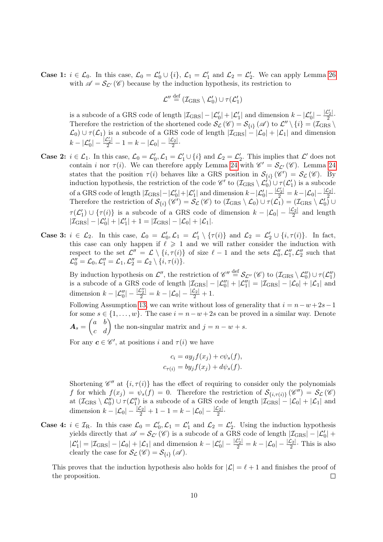**Case 1:**  $i \in \mathcal{L}_0$ . In this case,  $\mathcal{L}_0 = \mathcal{L}'_0 \cup \{i\}$ ,  $\mathcal{L}_1 = \mathcal{L}'_1$  and  $\mathcal{L}_2 = \mathcal{L}'_2$ . We can apply Lemma [26](#page-7-1) with  $\mathscr{A} = \mathcal{S}_{\mathcal{L}'}(\mathscr{C})$  because by the induction hypothesis, its restriction to

$$
\mathcal{L}'' \stackrel{\text{def}}{=} (\mathcal{I}_{GRS} \setminus \mathcal{L}'_0) \cup \tau(\mathcal{L}'_1)
$$

is a subcode of a GRS code of length  $|\mathcal{I}_{\text{GRS}}| - |\mathcal{L}'_0| + |\mathcal{L}'_1|$  and dimension  $k - |\mathcal{L}'_0| - \frac{|\mathcal{L}'_2|}{2}$  $\frac{2}{2}$ . Therefore the restriction of the shortened code  $\mathcal{S}_{\mathcal{L}}(\mathscr{C}) = \mathcal{S}_{\{i\}}(\mathscr{A})$  to  $\mathcal{L}'' \setminus \{i\} = (\mathcal{I}_{GRS} \setminus \mathcal{I}_{CHS})$  $\mathcal{L}_0$ )  $\cup \tau(\mathcal{L}_1)$  is a subcode of a GRS code of length  $|\mathcal{I}_{GRS}| - |\mathcal{L}_0| + |\mathcal{L}_1|$  and dimension  $k - |\mathcal{L}_0'| - \frac{|\mathcal{L}_2'|}{2} - 1 = k - |\mathcal{L}_0| - \frac{|\mathcal{L}_2|}{2}.$ 

- **Case 2:**  $i \in \mathcal{L}_1$ . In this case,  $\mathcal{L}_0 = \mathcal{L}'_0$ ,  $\mathcal{L}_1 = \mathcal{L}'_1 \cup \{i\}$  and  $\mathcal{L}_2 = \mathcal{L}'_2$ . This implies that  $\mathcal{L}'$  does not contain *i* nor  $\tau(i)$ . We can therefore apply Lemma [24](#page-7-0) with  $\mathscr{C}' = \mathcal{S}_{\mathcal{L}'}(\mathscr{C})$ . Lemma 24 states that the position  $\tau(i)$  behaves like a GRS position in  $\mathcal{S}_{\{i\}}(\mathscr{C}') = \mathcal{S}_{\mathcal{L}}(\mathscr{C})$ . By induction hypothesis, the restriction of the code  $\mathscr{C}'$  to  $(\mathcal{I}_{GRS} \setminus \mathcal{L}'_0) \cup \tau(\mathcal{L}'_1)$  is a subcode  $_0/$   $\cup$   $_1$   $($   $\sim$   $_1$ of a GRS code of length  $|\mathcal{I}_{GRS}|-|\mathcal{L}'_0|+|\mathcal{L}'_1|$  and dimension  $k-|\mathcal{L}'_0|-\frac{|\mathcal{L}_2|}{2}=k-|\mathcal{L}_0|-\frac{|\mathcal{L}_2|}{2}$ . Therefore the restriction of  $\mathcal{S}_{\{i\}}(\mathscr{C}') = \mathcal{S}_{\mathcal{L}}(\mathscr{C})$  to  $(\mathcal{I}_{GRS} \setminus \mathcal{L}_0) \cup \tau(\mathcal{L}_1) = (\mathcal{I}_{GRS} \setminus \mathcal{L}'_0)$  $\tau(\mathcal{L}'_1) \cup \{\tau(i)\}\$ is a subcode of a GRS code of dimension  $k - |\mathcal{L}_0| - \frac{|\mathcal{L}_2|}{2}$  and length  $|\mathcal{I}_{GRS}| - |\mathcal{L}'_0| + |\mathcal{L}'_1| + 1 = |\mathcal{I}_{GRS}| - |\mathcal{L}_0| + |\mathcal{L}_1|.$
- Case 3:  $i \in \mathcal{L}_2$ . In this case,  $\mathcal{L}_0 = \mathcal{L}'_0$ ,  $\mathcal{L}_1 = \mathcal{L}'_1 \setminus {\tau(i)}$  and  $\mathcal{L}_2 = \mathcal{L}'_2 \cup {\{i, \tau(i)\}}$ . In fact, this case can only happen if  $\ell \geq 1$  and we will rather consider the induction with respect to the set  $\mathcal{L}'' = \mathcal{L} \setminus \{i, \tau(i)\}\$  of size  $\ell - 1$  and the sets  $\mathcal{L}''_0, \mathcal{L}''_1, \mathcal{L}''_2$  such that  $\mathcal{L}_0'' = \mathcal{L}_0, \mathcal{L}_1'' = \mathcal{L}_1, \mathcal{L}_2'' = \mathcal{L}_2 \setminus \{i, \tau(i)\}.$

By induction hypothesis on  $\mathcal{L}''$ , the restriction of  $\mathscr{C}'' \stackrel{\text{def}}{=} \mathcal{S}_{\mathcal{L}''}(\mathscr{C})$  to  $(\mathcal{I}_{GRS} \setminus \mathcal{L}_0'') \cup \tau(\mathcal{L}_1'')$ is a subcode of a GRS code of length  $|\mathcal{I}_{GRS}| - |\mathcal{L}_{0}^{"}| + |\mathcal{L}_{1}^{"}| = |\mathcal{I}_{GRS}| - |\mathcal{L}_{0}| + |\mathcal{L}_{1}|$  and dimension  $k - |\mathcal{L}''_0| - \frac{|\mathcal{L}''_2|}{2} = k - |\mathcal{L}_0| - \frac{|\mathcal{L}_2|}{2} + 1.$ 

Following Assumption [13,](#page-4-4) we can write without loss of generality that  $i = n - w + 2s - 1$ for some  $s \in \{1, \ldots, w\}$ . The case  $i = n - w + 2s$  can be proved in a similar way. Denote  $A_s = \begin{pmatrix} a & b \ c & d \end{pmatrix}$  the non-singular matrix and  $j = n - w + s$ .

For any  $c \in \mathscr{C}'$ , at positions i and  $\tau(i)$  we have

$$
c_i = ay_j f(x_j) + c\psi_s(f),
$$
  

$$
c_{\tau(i)} = by_j f(x_j) + d\psi_s(f).
$$

Shortening  $\mathscr{C}''$  at  $\{i, \tau(i)\}$  has the effect of requiring to consider only the polynomials f for which  $f(x_j) = \psi_s(f) = 0$ . Therefore the restriction of  $\mathcal{S}_{\{i,\tau(i)\}}(\mathscr{C}'') = \mathcal{S}_{\mathcal{L}}(\mathscr{C})$ at  $(\mathcal{I}_{GRS} \setminus \mathcal{L}_0'') \cup \tau(\mathcal{L}_1'')$  is a subcode of a GRS code of length  $|\mathcal{I}_{GRS}| - |\mathcal{L}_0| + |\mathcal{L}_1|$  and dimension  $k - |\mathcal{L}_0| - \frac{|\mathcal{L}_2|}{2} + 1 - 1 = k - |\mathcal{L}_0| - \frac{|\mathcal{L}_2|}{2}$ .

**Case 4:**  $i \in \mathcal{I}_R$ . In this case  $\mathcal{L}_0 = \mathcal{L}'_0$ ,  $\mathcal{L}_1 = \mathcal{L}'_1$  and  $\mathcal{L}_2 = \mathcal{L}'_2$ . Using the induction hypothesis yields directly that  $\mathscr{A} = \mathcal{S}_{\mathcal{L}'}(\mathscr{C})$  is a subcode of a GRS code of length  $|\mathcal{I}_{GRS}| - |\mathcal{L}'_0| +$  $|\mathcal{L}'_1| = |\mathcal{I}_{GRS}|-|\mathcal{L}_0| + |\mathcal{L}_1|$  and dimension  $k - |\mathcal{L}'_0| - \frac{|\mathcal{L}'_2|}{2} = k - |\mathcal{L}_0| - \frac{|\mathcal{L}_2|}{2}$ . This is also clearly the case for  $\mathcal{S}_{\mathcal{L}}(\mathscr{C}) = \mathcal{S}_{\{i\}}(\mathscr{A})$ .

This proves that the induction hypothesis also holds for  $|\mathcal{L}| = \ell + 1$  and finishes the proof of the proposition.  $\Box$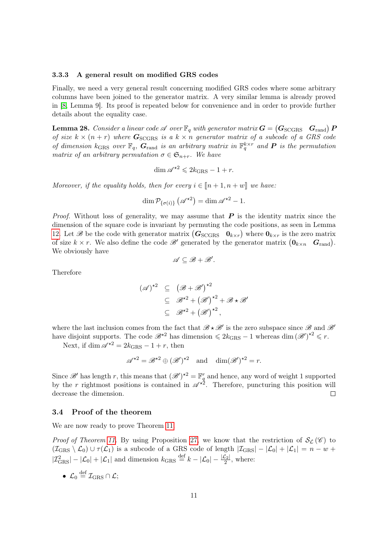#### 3.3.3 A general result on modified GRS codes

Finally, we need a very general result concerning modified GRS codes where some arbitrary columns have been joined to the generator matrix. A very similar lemma is already proved in [\[8,](#page-17-4) Lemma 9]. Its proof is repeated below for convenience and in order to provide further details about the equality case.

<span id="page-10-0"></span>**Lemma 28.** Consider a linear code  $\mathscr A$  over  $\mathbb F_q$  with generator matrix  $\boldsymbol{G} = \begin{pmatrix} \boldsymbol{G}_{\text{SCGRS}} & \boldsymbol{G}_{\text{rand}} \end{pmatrix}$   $\boldsymbol{P}$ of size  $k \times (n + r)$  where  $G_{\text{SCGRS}}$  is a  $k \times n$  generator matrix of a subcode of a GRS code of dimension  $k_{\text{GRS}}$  over  $\mathbb{F}_q$ ,  $G_{\text{rand}}$  is an arbitrary matrix in  $\mathbb{F}_q^{k \times r}$  and **P** is the permutation matrix of an arbitrary permutation  $\sigma \in \mathfrak{S}_{n+r}$ . We have

$$
\dim \mathscr{A}^{\star 2} \leqslant 2k_{\text{GRS}} - 1 + r.
$$

Moreover, if the equality holds, then for every  $i \in [n+1, n+w]$  we have:

$$
\dim \mathcal{P}_{\{\sigma(i)\}}\left(\mathscr{A}^{\star 2}\right) = \dim \mathscr{A}^{\star 2} - 1.
$$

*Proof.* Without loss of generality, we may assume that  $P$  is the identity matrix since the dimension of the square code is invariant by permuting the code positions, as seen in Lemma [12.](#page-4-3) Let B be the code with generator matrix  $(G_{\text{SCGRS}} \quad 0_{k \times r})$  where  $0_{k \times r}$  is the zero matrix of size  $k \times r$ . We also define the code  $\mathscr{B}'$  generated by the generator matrix  $(\mathbf{0}_{k \times n} \quad \mathbf{G}_{\text{rand}})$ . We obviously have

 $\mathscr{A} \subseteq \mathscr{B} + \mathscr{B}'.$ 

Therefore

$$
(\mathscr{A})^{\star 2} \subseteq (\mathscr{B} + \mathscr{B}')^{\star 2}
$$
  
\n
$$
\subseteq \mathscr{B}^{\star 2} + (\mathscr{B}')^{\star 2} + \mathscr{B} \star \mathscr{B}'
$$
  
\n
$$
\subseteq \mathscr{B}^{\star 2} + (\mathscr{B}')^{\star 2},
$$

where the last inclusion comes from the fact that  $\mathscr{B} \star \mathscr{B}'$  is the zero subspace since  $\mathscr{B}$  and  $\mathscr{B}'$ have disjoint supports. The code  $\mathscr{B}^{*2}$  has dimension  $\leq 2k_{\text{GRS}} - 1$  whereas dim  $(\mathscr{B}')^{*2} \leq r$ .

Next, if dim  $\mathscr{A}^{\star 2} = 2k_{\text{GRS}} - 1 + r$ , then

$$
\mathscr{A}^{\star 2} = \mathscr{B}^{\star 2} \oplus (\mathscr{B}')^{\star 2} \quad \text{and} \quad \dim(\mathscr{B}')^{\star 2} = r.
$$

Since  $\mathscr{B}'$  has length r, this means that  $(\mathscr{B}')^{\star 2} = \mathbb{F}_q^r$  and hence, any word of weight 1 supported by the r rightmost positions is contained in  $\mathscr{A}^{\star 2}$ . Therefore, puncturing this position will decrease the dimension.  $\Box$ 

#### 3.4 Proof of the theorem

We are now ready to prove Theorem [11.](#page-4-2)

*Proof of Theorem [11.](#page-4-2)* By using Proposition [27,](#page-8-0) we know that the restriction of  $S_{\mathcal{L}}(\mathscr{C})$  to  $(\mathcal{I}_{GRS} \setminus \mathcal{L}_0) \cup \tau(\mathcal{L}_1)$  is a subcode of a GRS code of length  $|\mathcal{I}_{GRS}| - |\mathcal{L}_0| + |\mathcal{L}_1| = n - w +$  $|\mathcal{I}_{GRS}^2| - |\mathcal{L}_0| + |\mathcal{L}_1|$  and dimension  $k_{GRS} \stackrel{\text{def}}{=} k - |\mathcal{L}_0| - \frac{|\mathcal{L}_2|}{2}$ , where:

•  $\mathcal{L}_0 \stackrel{\text{def}}{=} \mathcal{I}_{\text{GRS}} \cap \mathcal{L};$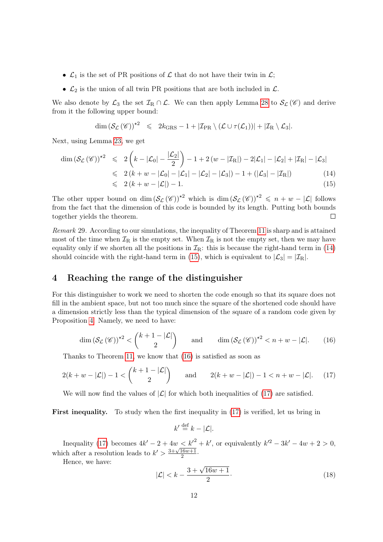- $\mathcal{L}_1$  is the set of PR positions of  $\mathcal L$  that do not have their twin in  $\mathcal L$ ;
- $\mathcal{L}_2$  is the union of all twin PR positions that are both included in  $\mathcal{L}$ .

We also denote by  $\mathcal{L}_3$  the set  $\mathcal{I}_R \cap \mathcal{L}$ . We can then apply Lemma [28](#page-10-0) to  $\mathcal{S}_{\mathcal{L}}(\mathscr{C})$  and derive from it the following upper bound:

$$
\dim\left(\mathcal{S}_{\mathcal{L}}\left(\mathscr{C}\right)\right)^{\star 2} \leqslant 2k_{\text{GRS}}-1+|\mathcal{I}_{\text{PR}}\setminus\left(\mathcal{L}\cup\tau(\mathcal{L}_1)\right)|+|\mathcal{I}_{\text{R}}\setminus\mathcal{L}_3|.
$$

Next, using Lemma [23,](#page-6-7) we get

<span id="page-11-0"></span>
$$
\dim \left(\mathcal{S}_{\mathcal{L}}\left(\mathscr{C}\right)\right)^{\star 2} \leqslant 2\left(k - |\mathcal{L}_{0}| - \frac{|\mathcal{L}_{2}|}{2}\right) - 1 + 2\left(w - |\mathcal{I}_{R}|\right) - 2|\mathcal{L}_{1}| - |\mathcal{L}_{2}| + |\mathcal{I}_{R}| - |\mathcal{L}_{3}|
$$
\n
$$
\leqslant 2\left(k + w - |\mathcal{L}_{0}| - |\mathcal{L}_{1}| - |\mathcal{L}_{2}| - |\mathcal{L}_{3}|\right) - 1 + \left(|\mathcal{L}_{3}| - |\mathcal{I}_{R}|\right) \tag{14}
$$
\n
$$
\leqslant 2\left(k + w - |\mathcal{L}|\right) - 1. \tag{15}
$$

The other upper bound on dim  $(\mathcal{S}_{\mathcal{L}}(\mathscr{C}))^{\star 2}$  which is dim  $(\mathcal{S}_{\mathcal{L}}(\mathscr{C}))^{\star 2} \leq n + w - |\mathcal{L}|$  follows from the fact that the dimension of this code is bounded by its length. Putting both bounds together yields the theorem.  $\Box$ 

<span id="page-11-4"></span>Remark 29. According to our simulations, the inequality of Theorem [11](#page-4-2) is sharp and is attained most of the time when  $\mathcal{I}_R$  is the empty set. When  $\mathcal{I}_R$  is not the empty set, then we may have equality only if we shorten all the positions in  $\mathcal{I}_R$ : this is because the right-hand term in [\(14\)](#page-11-0) should coincide with the right-hand term in [\(15\)](#page-11-0), which is equivalent to  $|\mathcal{L}_3| = |\mathcal{I}_R|$ .

# 4 Reaching the range of the distinguisher

For this distinguisher to work we need to shorten the code enough so that its square does not fill in the ambient space, but not too much since the square of the shortened code should have a dimension strictly less than the typical dimension of the square of a random code given by Proposition [4.](#page-1-1) Namely, we need to have:

<span id="page-11-1"></span>
$$
\dim\left(\mathcal{S}_{\mathcal{L}}\left(\mathscr{C}\right)\right)^{\star 2} < \binom{k+1-|\mathcal{L}|}{2} \quad \text{and} \quad \dim\left(\mathcal{S}_{\mathcal{L}}\left(\mathscr{C}\right)\right)^{\star 2} < n+w-|\mathcal{L}|. \tag{16}
$$

Thanks to Theorem [11,](#page-4-2) we know that [\(16\)](#page-11-1) is satisfied as soon as

<span id="page-11-2"></span>
$$
2(k+w-|\mathcal{L}|)-1 < \binom{k+1-|\mathcal{L}|}{2} \quad \text{and} \quad 2(k+w-|\mathcal{L}|)-1 < n+w-|\mathcal{L}|. \tag{17}
$$

We will now find the values of  $|\mathcal{L}|$  for which both inequalities of [\(17\)](#page-11-2) are satisfied.

First inequality. To study when the first inequality in [\(17\)](#page-11-2) is verified, let us bring in

$$
k' \stackrel{\text{def}}{=} k - |\mathcal{L}|.
$$

Inequality [\(17\)](#page-11-2) becomes  $4k' - 2 + 4w < k'^2 + k'$ , or equivalently  $k'^2 - 3k' - 4w + 2 > 0$ , which after a resolution leads to  $k' > \frac{3+\sqrt{16w+1}}{2}$  $\frac{16w+1}{2}$ .

Hence, we have:

<span id="page-11-3"></span>
$$
|\mathcal{L}| < k - \frac{3 + \sqrt{16w + 1}}{2}.\tag{18}
$$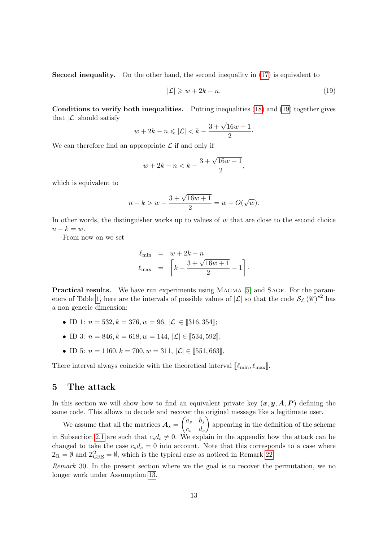Second inequality. On the other hand, the second inequality in [\(17\)](#page-11-2) is equivalent to

<span id="page-12-0"></span>
$$
|\mathcal{L}| \geqslant w + 2k - n. \tag{19}
$$

Conditions to verify both inequalities. Putting inequalities [\(18\)](#page-11-3) and [\(19\)](#page-12-0) together gives that  $|\mathcal{L}|$  should satisfy

$$
w + 2k - n \leq |\mathcal{L}| < k - \frac{3 + \sqrt{16w + 1}}{2}.
$$

We can therefore find an appropriate  $\mathcal L$  if and only if

$$
w + 2k - n < k - \frac{3 + \sqrt{16w + 1}}{2},
$$

which is equivalent to

$$
n - k > w + \frac{3 + \sqrt{16w + 1}}{2} = w + O(\sqrt{w}).
$$

In other words, the distinguisher works up to values of  $w$  that are close to the second choice  $n-k=w.$ 

From now on we set

$$
\ell_{\min} = w + 2k - n
$$
  

$$
\ell_{\max} = \left[k - \frac{3 + \sqrt{16w + 1}}{2} - 1\right].
$$

Practical results. We have run experiments using MAGMA [\[5\]](#page-17-13) and SAGE. For the param-eters of Table [1,](#page-4-0) here are the intervals of possible values of  $|\mathcal{L}|$  so that the code  $\mathcal{S}_{\mathcal{L}}(\mathscr{C})^{\star 2}$  has a non generic dimension:

- ID 1:  $n = 532, k = 376, w = 96, |\mathcal{L}| \in [\![316, 354]\!]$ ;
- ID 3:  $n = 846, k = 618, w = 144, |\mathcal{L}| \in [534, 592]$ ;
- ID 5:  $n = 1160, k = 700, w = 311, |\mathcal{L}| \in [551, 663]$ .

There interval always coincide with the theoretical interval  $[\ell_{\min}, \ell_{\max}].$ 

# 5 The attack

In this section we will show how to find an equivalent private key  $(x, y, A, P)$  defining the same code. This allows to decode and recover the original message like a legitimate user.

We assume that all the matrices  $A_s = \begin{pmatrix} a_s & b_s \ a_s & d_s \end{pmatrix}$  $c_s$   $d_s$  appearing in the definition of the scheme in Subsection [2.1](#page-3-0) are such that  $c_s d_s \neq 0$ . We explain in the appendix how the attack can be changed to take the case  $c_s d_s = 0$  into account. Note that this corresponds to a case where  $\mathcal{I}_{\text{R}} = \emptyset$  and  $\mathcal{I}_{\text{GRS}}^2 = \emptyset$ , which is the typical case as noticed in Remark [22.](#page-6-8)

Remark 30. In the present section where we the goal is to recover the permutation, we no longer work under Assumption [13.](#page-4-4)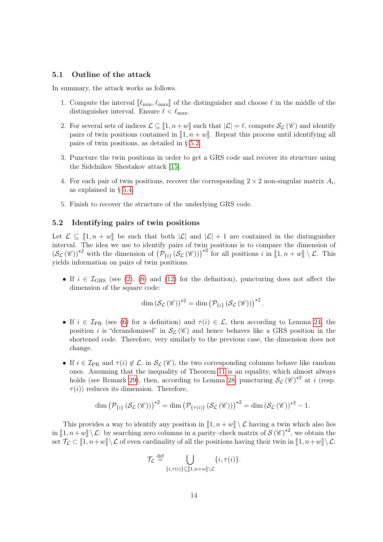#### 5.1 Outline of the attack

In summary, the attack works as follows.

- 1. Compute the interval  $\llbracket \ell_{\min}, \ell_{\max} \rrbracket$  of the distinguisher and choose  $\ell$  in the middle of the distinguisher interval. Ensure  $\ell < \ell_{\text{max}}$ .
- 2. For several sets of indices  $\mathcal{L} \subseteq [1, n+w]$  such that  $|\mathcal{L}| = \ell$ , compute  $\mathcal{S}_{\mathcal{L}} (\mathscr{C})$  and identify pairs of twin positions contained in  $\llbracket 1, n + w \rrbracket$ . Repeat this process until identifying all pairs of twin positions, as detailed in § [5.2.](#page-13-0)
- 3. Puncture the twin positions in order to get a GRS code and recover its structure using the Sidelnikov Shestakov attack [\[15\]](#page-18-0).
- 4. For each pair of twin positions, recover the corresponding  $2 \times 2$  non-singular matrix  $A_i$ , as explained in § [5.4.](#page-14-0)
- 5. Finish to recover the structure of the underlying GRS code.

#### <span id="page-13-0"></span>5.2 Identifying pairs of twin positions

Let  $\mathcal{L} \subseteq [1, n+w]$  be such that both  $|\mathcal{L}|$  and  $|\mathcal{L}|+1$  are contained in the distinguisher interval. The idea we use to identify pairs of twin positions is to compare the dimension of  $(\mathcal{S}_{\mathcal{L}}(\mathscr{C}))^{\star 2}$  with the dimension of  $(\mathcal{P}_{\{i\}}(\mathcal{S}_{\mathcal{L}}(\mathscr{C})))^{\star 2}$  for all positions i in  $[\![1, n+w]\!] \setminus \mathcal{L}$ . This yields information on pairs of twin positions.

• If  $i \in \mathcal{I}_{GRS}$  (see [\(2\)](#page-5-1), [\(8\)](#page-6-4) and [\(12\)](#page-6-5) for the definition), puncturing does not affect the dimension of the square code:

$$
\dim\left(\mathcal{S}_{\mathcal{L}}\left(\mathscr{C}\right)\right)^{\star 2}=\dim\left(\mathcal{P}_{\{i\}}\left(\mathcal{S}_{\mathcal{L}}\left(\mathscr{C}\right)\right)\right)^{\star 2}.
$$

- If  $i \in \mathcal{I}_{PR}$  (see [\(6\)](#page-6-6) for a definition) and  $\tau(i) \in \mathcal{L}$ , then according to Lemma [24,](#page-7-0) the position i is "derandomised" in  $\mathcal{S}_{\mathcal{L}}(\mathscr{C})$  and hence behaves like a GRS position in the shortened code. Therefore, very similarly to the previous case, the dimension does not change.
- If  $i \in \mathcal{I}_{PR}$  and  $\tau(i) \notin \mathcal{L}$ , in  $\mathcal{S}_{\mathcal{L}}(\mathscr{C})$ , the two corresponding columns behave like random ones. Assuming that the inequality of Theorem [11](#page-4-2) is an equality, which almost always holds (see Remark [29\)](#page-11-4), then, according to Lemma [28,](#page-10-0) puncturing  $\mathcal{S}_{\mathcal{L}}(\mathscr{C})^{\star 2}$  at *i* (resp.  $\tau(i)$  reduces its dimension. Therefore,

$$
\dim (\mathcal{P}_{\{i\}}(\mathcal{S}_{\mathcal{L}}(\mathscr{C})))^{\star 2} = \dim (\mathcal{P}_{\{\tau(i)\}}(\mathcal{S}_{\mathcal{L}}(\mathscr{C})))^{\star 2} = \dim (\mathcal{S}_{\mathcal{L}}(\mathscr{C}))^{\star 2} - 1.
$$

This provides a way to identify any position in  $[1, n+w] \setminus \mathcal{L}$  having a twin which also lies in  $[1, n+w] \setminus \mathcal{L}$ : by searching zero columns in a parity–check matrix of  $\mathcal{S}(\mathscr{C})^{\star 2}$ , we obtain the set  $\mathcal{T}_{\mathcal{L}} \subset [1, n+w] \setminus \mathcal{L}$  of even cardinality of all the positions having their twin in  $[1, n+w] \setminus \mathcal{L}$ :

$$
\mathcal{T}_{\mathcal{L}} \stackrel{\text{def}}{=} \bigcup_{\{i,\tau(i)\} \subseteq [1,n+w] \setminus \mathcal{L}} \{i,\tau(i)\}.
$$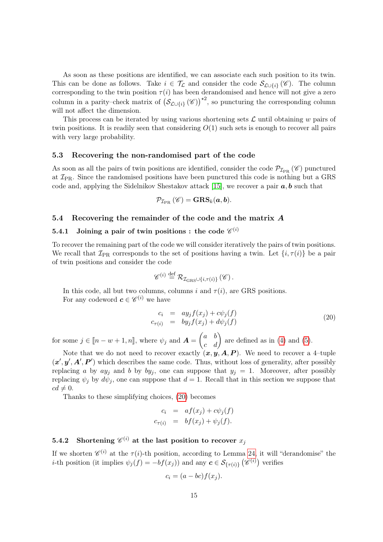As soon as these positions are identified, we can associate each such position to its twin. This can be done as follows. Take  $i \in \mathcal{T}_{\mathcal{L}}$  and consider the code  $\mathcal{S}_{\mathcal{L}\cup\{i\}}(\mathscr{C})$ . The column corresponding to the twin position  $\tau(i)$  has been derandomised and hence will not give a zero column in a parity–check matrix of  $(\mathcal{S}_{\mathcal{L}\cup\{i\}}(\mathscr{C}))^{\star 2}$ , so puncturing the corresponding column will not affect the dimension.

This process can be iterated by using various shortening sets  $\mathcal L$  until obtaining w pairs of twin positions. It is readily seen that considering  $O(1)$  such sets is enough to recover all pairs with very large probability.

#### 5.3 Recovering the non-randomised part of the code

As soon as all the pairs of twin positions are identified, consider the code  $\mathcal{P}_{\mathcal{I}_{\text{PR}}}(\mathscr{C})$  punctured at  $\mathcal{I}_{PR}$ . Since the randomised positions have been punctured this code is nothing but a GRS code and, applying the Sidelnikov Shestakov attack [\[15\]](#page-18-0), we recover a pair  $\boldsymbol{a}, \boldsymbol{b}$  such that

$$
\mathcal{P}_{\mathcal{I}_{\text{PR}}}\left(\mathscr{C}\right)=\mathbf{GRS}_{k}(\boldsymbol{a},\boldsymbol{b}).
$$

#### <span id="page-14-0"></span>5.4 Recovering the remainder of the code and the matrix A

# 5.4.1 Joining a pair of twin positions : the code  $\mathscr{C}^{(i)}$

To recover the remaining part of the code we will consider iteratively the pairs of twin positions. We recall that  $\mathcal{I}_{\text{PR}}$  corresponds to the set of positions having a twin. Let  $\{i, \tau(i)\}$  be a pair of twin positions and consider the code

$$
\mathscr{C}^{(i)} \stackrel{\text{def}}{=} \mathcal{R}_{\mathcal{I}_{\text{GRS}} \cup \{i, \tau(i)\}}(\mathscr{C})\,.
$$

In this code, all but two columns, columns i and  $\tau(i)$ , are GRS positions. For any codeword  $\mathbf{c} \in \mathcal{C}^{(i)}$  we have

<span id="page-14-1"></span>
$$
c_i = ay_j f(x_j) + c\psi_j(f)
$$
  
\n
$$
c_{\tau(i)} = by_j f(x_j) + d\psi_j(f)
$$
\n(20)

for some  $j \in [n - w + 1, n]$ , where  $\psi_j$  and  $\mathbf{A} = \begin{pmatrix} a & b \\ c & d \end{pmatrix}$  are defined as in [\(4\)](#page-5-0) and [\(5\)](#page-5-2).

Note that we do not need to recover exactly  $(x, y, A, P)$ . We need to recover a 4-tuple  $(x', y', A', P')$  which describes the same code. Thus, without loss of generality, after possibly replacing a by  $ay_j$  and b by  $by_j$ , one can suppose that  $y_j = 1$ . Moreover, after possibly replacing  $\psi_j$  by  $d\psi_j$ , one can suppose that  $d = 1$ . Recall that in this section we suppose that  $cd \neq 0.$ 

Thanks to these simplifying choices, [\(20\)](#page-14-1) becomes

$$
c_i = af(x_j) + c\psi_j(f)
$$
  

$$
c_{\tau(i)} = bf(x_j) + \psi_j(f).
$$

# 5.4.2 Shortening  $\mathscr{C}^{(i)}$  at the last position to recover  $x_j$

If we shorten  $\mathscr{C}^{(i)}$  at the  $\tau(i)$ -th position, according to Lemma [24,](#page-7-0) it will "derandomise" the *i*-th position (it implies  $\psi_j(f) = -bf(x_j)$ ) and any  $c \in \mathcal{S}_{\{\tau(i)\}}(\mathscr{C}^{(i)})$  verifies

$$
c_i = (a - bc)f(x_j).
$$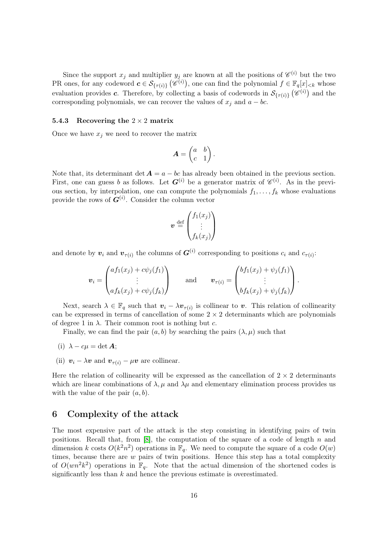Since the support  $x_j$  and multiplier  $y_j$  are known at all the positions of  $\mathscr{C}^{(i)}$  but the two PR ones, for any codeword  $c \in \mathcal{S}_{\{\tau(i)\}}(\mathscr{C}^{(i)})$ , one can find the polynomial  $f \in \mathbb{F}_q[x]_{< k}$  whose evaluation provides c. Therefore, by collecting a basis of codewords in  $\mathcal{S}_{\{\tau(i)\}}(\mathscr{C}^{(i)})$  and the corresponding polynomials, we can recover the values of  $x_j$  and  $a - bc$ .

#### 5.4.3 Recovering the  $2 \times 2$  matrix

Once we have  $x_j$  we need to recover the matrix

$$
\boldsymbol{A} = \begin{pmatrix} a & b \\ c & 1 \end{pmatrix}.
$$

Note that, its determinant det  $A = a - bc$  has already been obtained in the previous section. First, one can guess b as follows. Let  $G^{(i)}$  be a generator matrix of  $\mathscr{C}^{(i)}$ . As in the previous section, by interpolation, one can compute the polynomials  $f_1, \ldots, f_k$  whose evaluations provide the rows of  $G^{(i)}$ . Consider the column vector

$$
\boldsymbol{v} \stackrel{\text{def}}{=} \begin{pmatrix} f_1(x_j) \\ \vdots \\ f_k(x_j) \end{pmatrix}
$$

and denote by  $v_i$  and  $v_{\tau(i)}$  the columns of  $G^{(i)}$  corresponding to positions  $c_i$  and  $c_{\tau(i)}$ :

$$
\boldsymbol{v}_i = \begin{pmatrix} af_1(x_j) + c\psi_j(f_1) \\ \vdots \\ af_k(x_j) + c\psi_j(f_k) \end{pmatrix} \quad \text{and} \quad \boldsymbol{v}_{\tau(i)} = \begin{pmatrix} bf_1(x_j) + \psi_j(f_1) \\ \vdots \\ bf_k(x_j) + \psi_j(f_k) \end{pmatrix}.
$$

Next, search  $\lambda \in \mathbb{F}_q$  such that  $\mathbf{v}_i - \lambda \mathbf{v}_{\tau(i)}$  is collinear to v. This relation of collinearity can be expressed in terms of cancellation of some  $2 \times 2$  determinants which are polynomials of degree 1 in  $\lambda$ . Their common root is nothing but c.

Finally, we can find the pair  $(a, b)$  by searching the pairs  $(\lambda, \mu)$  such that

- (i)  $\lambda c\mu = \det A;$
- (ii)  $v_i \lambda v$  and  $v_{\tau(i)} \mu v$  are collinear.

Here the relation of collinearity will be expressed as the cancellation of  $2 \times 2$  determinants which are linear combinations of  $\lambda, \mu$  and  $\lambda\mu$  and elementary elimination process provides us with the value of the pair  $(a, b)$ .

### 6 Complexity of the attack

The most expensive part of the attack is the step consisting in identifying pairs of twin positions. Recall that, from  $[8]$ , the computation of the square of a code of length n and dimension k costs  $O(k^2n^2)$  operations in  $\mathbb{F}_q$ . We need to compute the square of a code  $O(w)$ times, because there are  $w$  pairs of twin positions. Hence this step has a total complexity of  $O(wn^2k^2)$  operations in  $\mathbb{F}_q$ . Note that the actual dimension of the shortened codes is significantly less than  $k$  and hence the previous estimate is overestimated.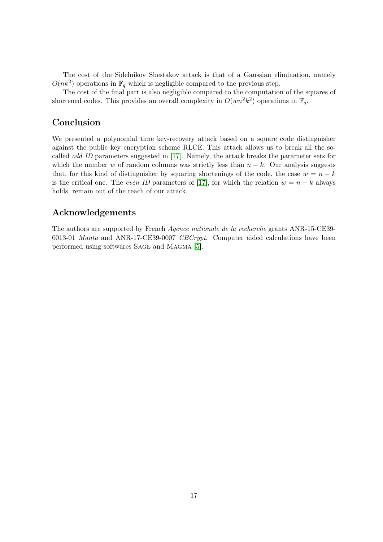The cost of the Sidelnikov Shestakov attack is that of a Gaussian elimination, namely  $O(nk^2)$  operations in  $\mathbb{F}_q$  which is negligible compared to the previous step.

The cost of the final part is also negligible compared to the computation of the squares of shortened codes. This provides an overall complexity in  $O(wn^2k^2)$  operations in  $\mathbb{F}_q$ .

# Conclusion

We presented a polynomial time key-recovery attack based on a square code distinguisher against the public key encryption scheme RLCE. This attack allows us to break all the socalled odd ID parameters suggested in [\[17\]](#page-18-4). Namely, the attack breaks the parameter sets for which the number w of random columns was strictly less than  $n - k$ . Our analysis suggests that, for this kind of distinguisher by squaring shortenings of the code, the case  $w = n - k$ is the critical one. The *even ID* parameters of [\[17\]](#page-18-4), for which the relation  $w = n - k$  always holds, remain out of the reach of our attack.

# Acknowledgements

The authors are supported by French Agence nationale de la recherche grants ANR-15-CE39- 0013-01 Manta and ANR-17-CE39-0007 CBCrypt. Computer aided calculations have been performed using softwares Sage and Magma [\[5\]](#page-17-13).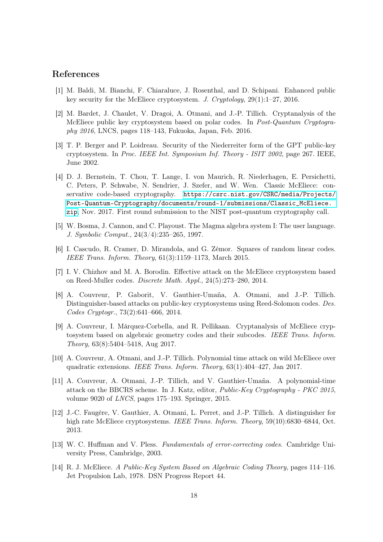# References

- <span id="page-17-3"></span>[1] M. Baldi, M. Bianchi, F. Chiaraluce, J. Rosenthal, and D. Schipani. Enhanced public key security for the McEliece cryptosystem. J. Cryptology, 29(1):1–27, 2016.
- <span id="page-17-9"></span>[2] M. Bardet, J. Chaulet, V. Dragoi, A. Otmani, and J.-P. Tillich. Cryptanalysis of the McEliece public key cryptosystem based on polar codes. In Post-Quantum Cryptography 2016, LNCS, pages 118–143, Fukuoka, Japan, Feb. 2016.
- <span id="page-17-2"></span>[3] T. P. Berger and P. Loidreau. Security of the Niederreiter form of the GPT public-key cryptosystem. In Proc. IEEE Int. Symposium Inf. Theory - ISIT 2002, page 267. IEEE, June 2002.
- <span id="page-17-1"></span>[4] D. J. Bernstein, T. Chou, T. Lange, I. von Maurich, R. Niederhagen, E. Persichetti, C. Peters, P. Schwabe, N. Sendrier, J. Szefer, and W. Wen. Classic McEliece: conservative code-based cryptography. [https://csrc.nist.gov/CSRC/media/Projects/](https://csrc.nist.gov/CSRC/media/Projects/Post-Quantum-Cryptography/documents/round-1/submissions/Classic_McEliece.zip) [Post-Quantum-Cryptography/documents/round-1/submissions/Classic\\_McEliece.](https://csrc.nist.gov/CSRC/media/Projects/Post-Quantum-Cryptography/documents/round-1/submissions/Classic_McEliece.zip) [zip](https://csrc.nist.gov/CSRC/media/Projects/Post-Quantum-Cryptography/documents/round-1/submissions/Classic_McEliece.zip), Nov. 2017. First round submission to the NIST post-quantum cryptography call.
- <span id="page-17-13"></span>[5] W. Bosma, J. Cannon, and C. Playoust. The Magma algebra system I: The user language. J. Symbolic Comput., 24(3/4):235–265, 1997.
- <span id="page-17-7"></span>[6] I. Cascudo, R. Cramer, D. Mirandola, and G. Zémor. Squares of random linear codes. IEEE Trans. Inform. Theory, 61(3):1159–1173, March 2015.
- <span id="page-17-8"></span>[7] I. V. Chizhov and M. A. Borodin. Effective attack on the McEliece cryptosystem based on Reed-Muller codes. Discrete Math. Appl., 24(5):273–280, 2014.
- <span id="page-17-4"></span>[8] A. Couvreur, P. Gaborit, V. Gauthier-Umaña, A. Otmani, and J.-P. Tillich. Distinguisher-based attacks on public-key cryptosystems using Reed-Solomon codes. Des. Codes Cryptogr., 73(2):641–666, 2014.
- <span id="page-17-11"></span>[9] A. Couvreur, I. Márquez-Corbella, and R. Pellikaan. Cryptanalysis of McEliece cryptosystem based on algebraic geometry codes and their subcodes. IEEE Trans. Inform. Theory, 63(8):5404–5418, Aug 2017.
- <span id="page-17-6"></span>[10] A. Couvreur, A. Otmani, and J.-P. Tillich. Polynomial time attack on wild McEliece over quadratic extensions. IEEE Trans. Inform. Theory, 63(1):404–427, Jan 2017.
- <span id="page-17-5"></span>[11] A. Couvreur, A. Otmani, J.-P. Tillich, and V. Gauthier-Umaña. A polynomial-time attack on the BBCRS scheme. In J. Katz, editor, Public-Key Cryptography - PKC 2015, volume 9020 of LNCS, pages 175–193. Springer, 2015.
- <span id="page-17-10"></span>[12] J.-C. Faugère, V. Gauthier, A. Otmani, L. Perret, and J.-P. Tillich. A distinguisher for high rate McEliece cryptosystems. IEEE Trans. Inform. Theory, 59(10):6830-6844, Oct. 2013.
- <span id="page-17-12"></span>[13] W. C. Huffman and V. Pless. Fundamentals of error-correcting codes. Cambridge University Press, Cambridge, 2003.
- <span id="page-17-0"></span>[14] R. J. McEliece. A Public-Key System Based on Algebraic Coding Theory, pages 114–116. Jet Propulsion Lab, 1978. DSN Progress Report 44.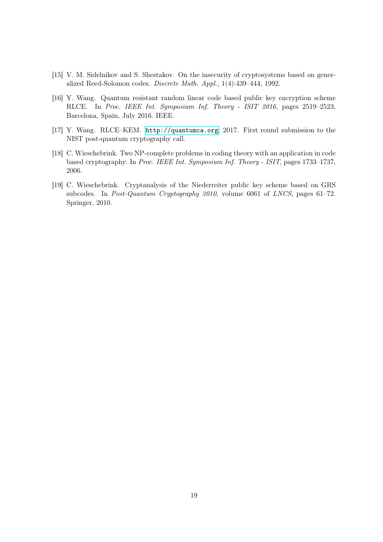- <span id="page-18-0"></span>[15] V. M. Sidelnikov and S. Shestakov. On the insecurity of cryptosystems based on generalized Reed-Solomon codes. Discrete Math. Appl., 1(4):439–444, 1992.
- <span id="page-18-3"></span>[16] Y. Wang. Quantum resistant random linear code based public key encryption scheme RLCE. In Proc. IEEE Int. Symposium Inf. Theory - ISIT 2016, pages 2519–2523, Barcelona, Spain, July 2016. IEEE.
- <span id="page-18-4"></span>[17] Y. Wang. RLCE–KEM. <http://quantumca.org>, 2017. First round submission to the NIST post-quantum cryptography call.
- <span id="page-18-1"></span>[18] C. Wieschebrink. Two NP-complete problems in coding theory with an application in code based cryptography. In Proc. IEEE Int. Symposium Inf. Theory - ISIT, pages 1733–1737, 2006.
- <span id="page-18-2"></span>[19] C. Wieschebrink. Cryptanalysis of the Niederreiter public key scheme based on GRS subcodes. In Post-Quantum Cryptography 2010, volume 6061 of LNCS, pages 61–72. Springer, 2010.